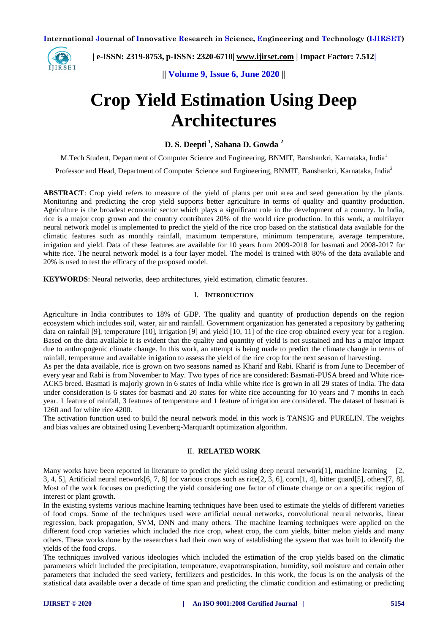

 **| e-ISSN: 2319-8753, p-ISSN: 2320-6710| [www.ijirset.com](http://www.ijirset.com/) | Impact Factor: 7.512|**

**|| Volume 9, Issue 6, June 2020 ||** 

# **Crop Yield Estimation Using Deep Architectures**

**D. S. Deepti <sup>1</sup> , Sahana D. Gowda <sup>2</sup>**

M.Tech Student, Department of Computer Science and Engineering, BNMIT, Banshankri, Karnataka, India<sup>1</sup>

Professor and Head, Department of Computer Science and Engineering, BNMIT, Banshankri, Karnataka, India<sup>2</sup>

**ABSTRACT**: Crop yield refers to measure of the yield of plants per unit area and seed generation by the plants. Monitoring and predicting the crop yield supports better agriculture in terms of quality and quantity production. Agriculture is the broadest economic sector which plays a significant role in the development of a country. In India, rice is a major crop grown and the country contributes 20% of the world rice production. In this work, a multilayer neural network model is implemented to predict the yield of the rice crop based on the statistical data available for the climatic features such as monthly rainfall, maximum temperature, minimum temperature, average temperature, irrigation and yield. Data of these features are available for 10 years from 2009-2018 for basmati and 2008-2017 for white rice. The neural network model is a four layer model. The model is trained with 80% of the data available and 20% is used to test the efficacy of the proposed model.

**KEYWORDS**: Neural networks, deep architectures, yield estimation, climatic features.

#### I. **INTRODUCTION**

Agriculture in India contributes to 18% of GDP. The quality and quantity of production depends on the region ecosystem which includes soil, water, air and rainfall. Government organization has generated a repository by gathering data on rainfall [9], temperature [10], irrigation [9] and yield [10, 11] of the rice crop obtained every year for a region. Based on the data available it is evident that the quality and quantity of yield is not sustained and has a major impact due to anthropogenic climate change. In this work, an attempt is being made to predict the climate change in terms of rainfall, temperature and available irrigation to assess the yield of the rice crop for the next season of harvesting.

As per the data available, rice is grown on two seasons named as Kharif and Rabi. Kharif is from June to December of every year and Rabi is from November to May. Two types of rice are considered: Basmati-PUSA breed and White rice-ACK5 breed. Basmati is majorly grown in 6 states of India while white rice is grown in all 29 states of India. The data under consideration is 6 states for basmati and 20 states for white rice accounting for 10 years and 7 months in each year. 1 feature of rainfall, 3 features of temperature and 1 feature of irrigation are considered. The dataset of basmati is 1260 and for white rice 4200.

The activation function used to build the neural network model in this work is TANSIG and PURELIN. The weights and bias values are obtained using Levenberg-Marquardt optimization algorithm.

## II. **RELATED WORK**

Many works have been reported in literature to predict the yield using deep neural network[1], machine learning [2, 3, 4, 5], Artificial neural network $[6, 7, 8]$  for various crops such as rice $[2, 3, 6]$ , corn $[1, 4]$ , bitter guard $[5]$ , others $[7, 8]$ . Most of the work focuses on predicting the yield considering one factor of climate change or on a specific region of interest or plant growth.

In the existing systems various machine learning techniques have been used to estimate the yields of different varieties of food crops. Some of the techniques used were artificial neural networks, convolutional neural networks, linear regression, back propagation, SVM, DNN and many others. The machine learning techniques were applied on the different food crop varieties which included the rice crop, wheat crop, the corn yields, bitter melon yields and many others. These works done by the researchers had their own way of establishing the system that was built to identify the yields of the food crops.

The techniques involved various ideologies which included the estimation of the crop yields based on the climatic parameters which included the precipitation, temperature, evapotranspiration, humidity, soil moisture and certain other parameters that included the seed variety, fertilizers and pesticides. In this work, the focus is on the analysis of the statistical data available over a decade of time span and predicting the climatic condition and estimating or predicting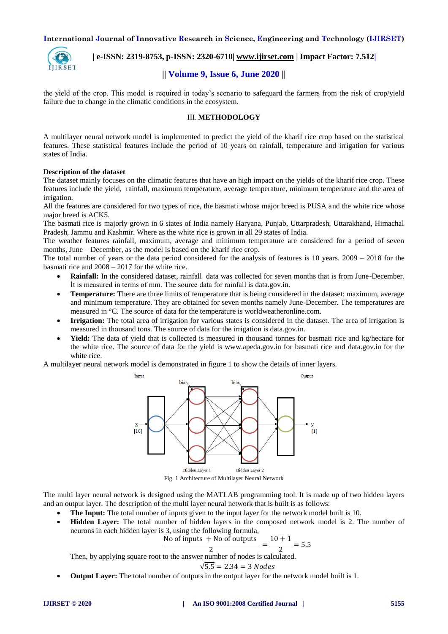

# **| e-ISSN: 2319-8753, p-ISSN: 2320-6710| [www.ijirset.com](http://www.ijirset.com/) | Impact Factor: 7.512|**

# **|| Volume 9, Issue 6, June 2020 ||**

the yield of the crop. This model is required in today's scenario to safeguard the farmers from the risk of crop/yield failure due to change in the climatic conditions in the ecosystem.

#### III. **METHODOLOGY**

A multilayer neural network model is implemented to predict the yield of the kharif rice crop based on the statistical features. These statistical features include the period of 10 years on rainfall, temperature and irrigation for various states of India.

#### **Description of the dataset**

The dataset mainly focuses on the climatic features that have an high impact on the yields of the kharif rice crop. These features include the yield, rainfall, maximum temperature, average temperature, minimum temperature and the area of irrigation.

All the features are considered for two types of rice, the basmati whose major breed is PUSA and the white rice whose major breed is ACK5.

The basmati rice is majorly grown in 6 states of India namely Haryana, Punjab, Uttarpradesh, Uttarakhand, Himachal Pradesh, Jammu and Kashmir. Where as the white rice is grown in all 29 states of India.

The weather features rainfall, maximum, average and minimum temperature are considered for a period of seven months, June – December, as the model is based on the kharif rice crop.

The total number of years or the data period considered for the analysis of features is  $10$  years.  $2009 - 2018$  for the basmati rice and 2008 – 2017 for the white rice.

- **Rainfall:** In the considered dataset, rainfall data was collected for seven months that is from June-December. İt is measured in terms of mm. The source data for rainfall is data.gov.in.
- **Temperature:** There are three limits of temperature that is being considered in the dataset: maximum, average and minimum temperature. They are obtained for seven months namely June-December. The temperatures are measured in °C. The source of data for the temperature is worldweatheronline.com.
- **Irrigation:** The total area of irrigation for various states is considered in the dataset. The area of irrigation is measured in thousand tons. The source of data for the irrigation is data.gov.in.
- **Yield:** The data of yield that is collected is measured in thousand tonnes for basmati rice and kg/hectare for the white rice. The source of data for the yield is www.apeda.gov.in for basmati rice and data.gov.in for the white rice.

A multilayer neural network model is demonstrated in figure 1 to show the details of inner layers.



Fig. 1 Architecture of Multilayer Neural Network

The multi layer neural network is designed using the MATLAB programming tool. It is made up of two hidden layers and an output layer. The description of the multi layer neural network that is built is as follows:

- **The Input:** The total number of inputs given to the input layer for the network model built is 10.
- **Hidden Layer:** The total number of hidden layers in the composed network model is 2. The number of neurons in each hidden layer is 3, using the following formula,

$$
\frac{\text{No of inputs + No of outputs}}{2} = \frac{10 + 1}{2} = 5.5
$$

Then, by applying square root to the answer number of nodes is calculated.

$$
\sqrt{5.5} = 2.34 = 3\,Nodes
$$

**Output Layer:** The total number of outputs in the output layer for the network model built is 1.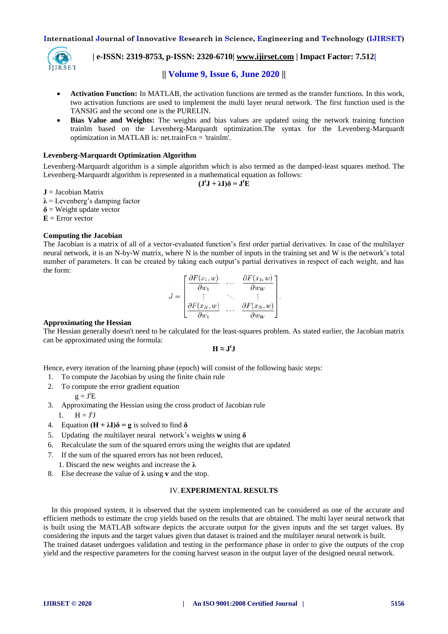

## **| e-ISSN: 2319-8753, p-ISSN: 2320-6710| [www.ijirset.com](http://www.ijirset.com/) | Impact Factor: 7.512|**

## **|| Volume 9, Issue 6, June 2020 ||**

- **Activation Function:** In MATLAB, the activation functions are termed as the transfer functions. In this work, two activation functions are used to implement the multi layer neural network. The first function used is the TANSIG and the second one is the PURELIN.
- **Bias Value and Weights:** The weights and bias values are updated using the network training function trainlm based on the Levenberg-Marquardt optimization.The syntax for the Levenberg-Marquardt optimization in MATLAB is: net.trainFcn = 'trainlm'.

## **Levenberg-Marquardt Optimization Algorithm**

Levenberg-Marquardt algorithm is a simple algorithm which is also termed as the damped-least squares method. The Levenberg-Marquardt algorithm is represented in a mathematical equation as follows:  $(\mathbf{J}^{\mathrm{t}}\mathbf{J} + \lambda \mathbf{I})\delta = \mathbf{J}^{\mathrm{t}}\mathbf{E}$ 

**J** = Jacobian Matrix

 $\lambda$  = Levenberg's damping factor

 $\delta$  = Weight update vector

 $E =$  Error vector

#### **Computing the Jacobian**

The Jacobian is a matrix of all of a vector-evaluated function's first order partial derivatives. In case of the multilayer neural network, it is an N-by-W matrix, where N is the number of inputs in the training set and W is the network's total number of parameters. It can be created by taking each output's partial derivatives in respect of each weight, and has the form:

$$
J = \begin{bmatrix} \frac{\partial F(x_1, w)}{\partial w_1} & \cdots & \frac{\partial F(x_1, w)}{\partial w_W} \\ \vdots & \ddots & \vdots \\ \frac{\partial F(x_N, w)}{\partial w_1} & \cdots & \frac{\partial F(x_N, w)}{\partial w_W} \end{bmatrix}.
$$

#### **Approximating the Hessian**

The Hessian generally doesn't need to be calculated for the least-squares problem. As stated earlier, the Jacobian matrix can be approximated using the formula:

 $H \approx J^{\dagger}J$ 

Hence, every iteration of the learning phase (epoch) will consist of the following basic steps:

- 1. To compute the Jacobian by using the finite chain rule
- 2. To compute the error gradient equation

$$
g = JtE
$$

3. Approximating the Hessian using the cross product of Jacobian rule

1.  $H = J^tJ$ 

- 4. Equation  $(H + \lambda I)\delta = g$  is solved to find  $\delta$
- 5. Updating the multilayer neural network's weights **w** using **δ**
- 6. Recalculate the sum of the squared errors using the weights that are updated
- 7. If the sum of the squared errors has not been reduced,
	- 1. Discard the new weights and increase the **λ**
- 8. Else decrease the value of **λ** using **v** and the stop.

## IV.**EXPERIMENTAL RESULTS**

In this proposed system, it is observed that the system implemented can be considered as one of the accurate and efficient methods to estimate the crop yields based on the results that are obtained. The multi layer neural network that is built using the MATLAB software depicts the accurate output for the given inputs and the set target values. By considering the inputs and the target values given that dataset is trained and the multilayer neural network is built. The trained dataset undergoes validation and testing in the performance phase in order to give the outputs of the crop yield and the respective parameters for the coming harvest season in the output layer of the designed neural network.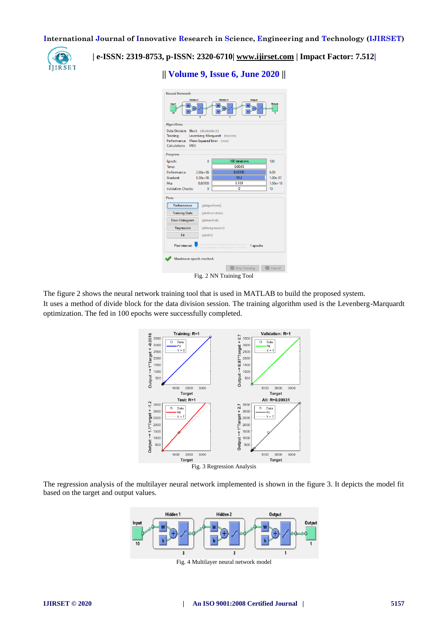

 **| e-ISSN: 2319-8753, p-ISSN: 2320-6710| [www.ijirset.com](http://www.ijirset.com/) | Impact Factor: 7.512|**

**|| Volume 9, Issue 6, June 2020 ||** 

| <b>Neural Network</b>                                                                                                                                           |                  |                  |              |
|-----------------------------------------------------------------------------------------------------------------------------------------------------------------|------------------|------------------|--------------|
| Hidden <sub>1</sub><br>Hidden <sub>2</sub><br>Output<br>Input<br>Dutput<br>10<br>$\overline{\mathbf{a}}$<br>$\overline{\mathbf{z}}$                             |                  |                  |              |
| <b>Algorithms</b>                                                                                                                                               |                  |                  |              |
| Data Division: Block (divideblock)<br>Training:<br>Levenberg-Marquardt (trainlm)<br>Performance: Mean Squared Error (mse)<br><b>Calculations:</b><br><b>MEX</b> |                  |                  |              |
| <b>Progress</b>                                                                                                                                                 |                  |                  |              |
| Epoch:                                                                                                                                                          | 0                | 100 iterations   | 100          |
| Time:                                                                                                                                                           |                  | 0:00:00          |              |
| Performance:                                                                                                                                                    | $2.06e + 06$     | 0.00185          | 0.00         |
| <b>Gradient:</b>                                                                                                                                                | $9.38e + 06$     | 19.2             | $1.00e-07$   |
| Mur                                                                                                                                                             | 0.00100          | 0.100            | $1.00e + 10$ |
| <b>Validation Checks:</b>                                                                                                                                       | $\mathbf{0}$     | $\Omega$         | 10           |
| <b>Plots</b>                                                                                                                                                    |                  |                  |              |
| Performance                                                                                                                                                     | (plotperform)    |                  |              |
| <b>Training State</b>                                                                                                                                           |                  | (plottrainstate) |              |
| <b>Error Histogram</b>                                                                                                                                          | (ploterrhist)    |                  |              |
| Regression                                                                                                                                                      | (plotregression) |                  |              |
| Fit                                                                                                                                                             | (plotfit)        |                  |              |
| Plot Interval:<br>1 epochs<br><u>A na promini po na promini promini promini pro</u>                                                                             |                  |                  |              |
| Maximum epoch reached.                                                                                                                                          |                  |                  |              |
|                                                                                                                                                                 |                  | Stop Training    | Cancel       |
| Fig. 2 NN Training Tool                                                                                                                                         |                  |                  |              |

The figure 2 shows the neural network training tool that is used in MATLAB to build the proposed system. It uses a method of divide block for the data division session. The training algorithm used is the Levenberg-Marquardt optimization. The fed in 100 epochs were successfully completed.



The regression analysis of the multilayer neural network implemented is shown in the figure 3. It depicts the model fit based on the target and output values.



Fig. 4 Multilayer neural network model